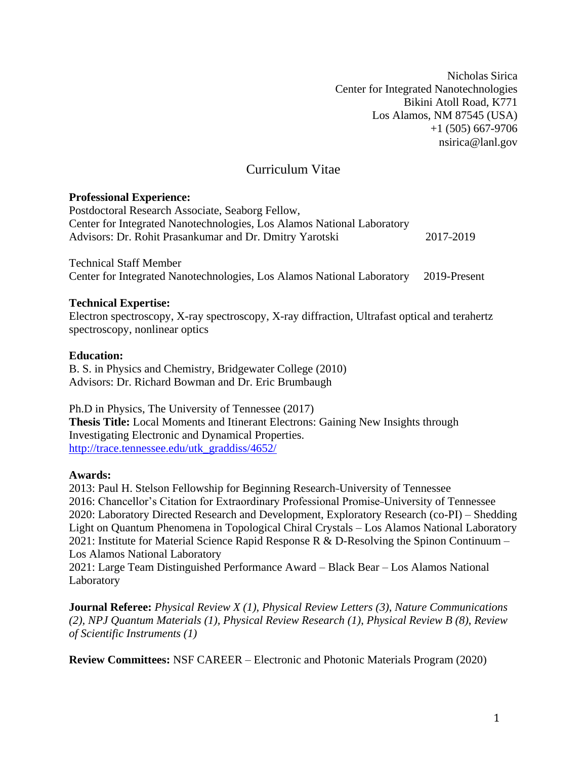Nicholas Sirica Center for Integrated Nanotechnologies Bikini Atoll Road, K771 Los Alamos, NM 87545 (USA) +1 (505) 667-9706 [nsirica@lanl.gov](mailto:nsirica@lanl.gov)

# Curriculum Vitae

### **Professional Experience:**

Postdoctoral Research Associate, Seaborg Fellow, Center for Integrated Nanotechnologies, Los Alamos National Laboratory Advisors: Dr. Rohit Prasankumar and Dr. Dmitry Yarotski 2017-2019

Technical Staff Member Center for Integrated Nanotechnologies, Los Alamos National Laboratory 2019-Present

## **Technical Expertise:**

Electron spectroscopy, X-ray spectroscopy, X-ray diffraction, Ultrafast optical and terahertz spectroscopy, nonlinear optics

### **Education:**

B. S. in Physics and Chemistry, Bridgewater College (2010) Advisors: Dr. Richard Bowman and Dr. Eric Brumbaugh

Ph.D in Physics, The University of Tennessee (2017) **Thesis Title:** Local Moments and Itinerant Electrons: Gaining New Insights through Investigating Electronic and Dynamical Properties. [http://trace.tennessee.edu/utk\\_graddiss/4652/](http://trace.tennessee.edu/utk_graddiss/4652/)

## **Awards:**

2013: Paul H. Stelson Fellowship for Beginning Research-University of Tennessee 2016: Chancellor's Citation for Extraordinary Professional Promise-University of Tennessee 2020: Laboratory Directed Research and Development, Exploratory Research (co-PI) – Shedding Light on Quantum Phenomena in Topological Chiral Crystals – Los Alamos National Laboratory 2021: Institute for Material Science Rapid Response R & D-Resolving the Spinon Continuum – Los Alamos National Laboratory

2021: Large Team Distinguished Performance Award – Black Bear – Los Alamos National Laboratory

**Journal Referee:** *Physical Review X (1), Physical Review Letters (3)*, *Nature Communications (2), NPJ Quantum Materials (1), Physical Review Research (1)*, *Physical Review B (8)*, *Review of Scientific Instruments (1)*

**Review Committees:** NSF CAREER – Electronic and Photonic Materials Program (2020)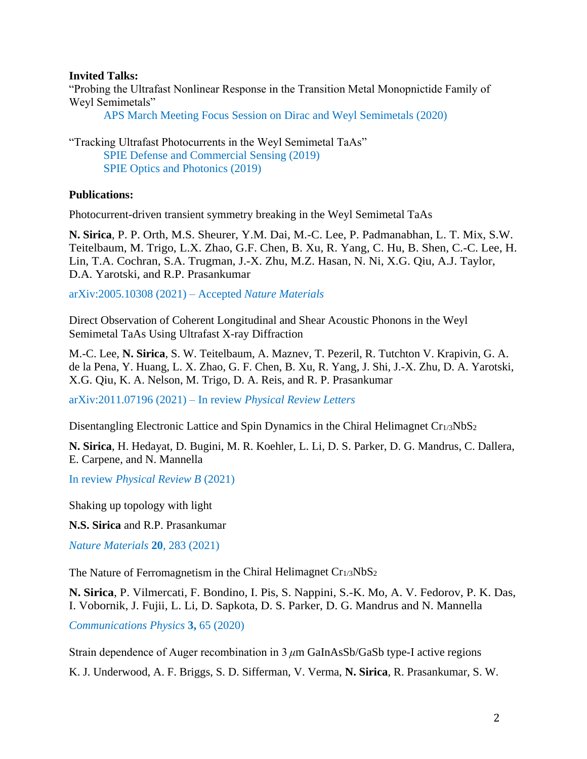#### **Invited Talks:**

"Probing the Ultrafast Nonlinear Response in the Transition Metal Monopnictide Family of Weyl Semimetals"

APS March Meeting Focus Session on Dirac and Weyl Semimetals (2020)

"Tracking Ultrafast Photocurrents in the Weyl Semimetal TaAs" SPIE Defense and Commercial Sensing (2019) SPIE Optics and Photonics (2019)

### **Publications:**

Photocurrent-driven transient symmetry breaking in the Weyl Semimetal TaAs

**N. Sirica**, P. P. Orth, M.S. Sheurer, Y.M. Dai, M.-C. Lee, P. Padmanabhan, L. T. Mix, S.W. Teitelbaum, M. Trigo, L.X. Zhao, G.F. Chen, B. Xu, R. Yang, C. Hu, B. Shen, C.-C. Lee, H. Lin, T.A. Cochran, S.A. Trugman, J.-X. Zhu, M.Z. Hasan, N. Ni, X.G. Qiu, A.J. Taylor, D.A. Yarotski, and R.P. Prasankumar

arXiv:2005.10308 (2021) – Accepted *Nature Materials*

Direct Observation of Coherent Longitudinal and Shear Acoustic Phonons in the Weyl Semimetal TaAs Using Ultrafast X-ray Diffraction

M.-C. Lee, **N. Sirica**, S. W. Teitelbaum, A. Maznev, T. Pezeril, R. Tutchton V. Krapivin, G. A. de la Pena, Y. Huang, L. X. Zhao, G. F. Chen, B. Xu, R. Yang, J. Shi, J.-X. Zhu, D. A. Yarotski, X.G. Qiu, K. A. Nelson, M. Trigo, D. A. Reis, and R. P. Prasankumar

arXiv:2011.07196 (2021) – In review *Physical Review Letters*

Disentangling Electronic Lattice and Spin Dynamics in the Chiral Helimagnet Cr<sub>1/3</sub>NbS<sub>2</sub>

**N. Sirica**, H. Hedayat, D. Bugini, M. R. Koehler, L. Li, D. S. Parker, D. G. Mandrus, C. Dallera, E. Carpene, and N. Mannella

In review *Physical Review B* (2021)

Shaking up topology with light

**N.S. Sirica** and R.P. Prasankumar

*Nature Materials* **20**, 283 (2021)

The Nature of Ferromagnetism in the Chiral Helimagnet Cr<sub>1/3</sub>NbS<sub>2</sub>

**N. Sirica**, P. Vilmercati, F. Bondino, I. Pis, S. Nappini, S.-K. Mo, A. V. Fedorov, P. K. Das, I. Vobornik, J. Fujii, L. Li, D. Sapkota, D. S. Parker, D. G. Mandrus and N. Mannella

*Communications Physics* **3,** 65 (2020)

Strain dependence of Auger recombination in 3 *μ*m GaInAsSb/GaSb type-I active regions

K. J. Underwood, A. F. Briggs, S. D. Sifferman, V. Verma, **N. Sirica**, R. Prasankumar, S. W.